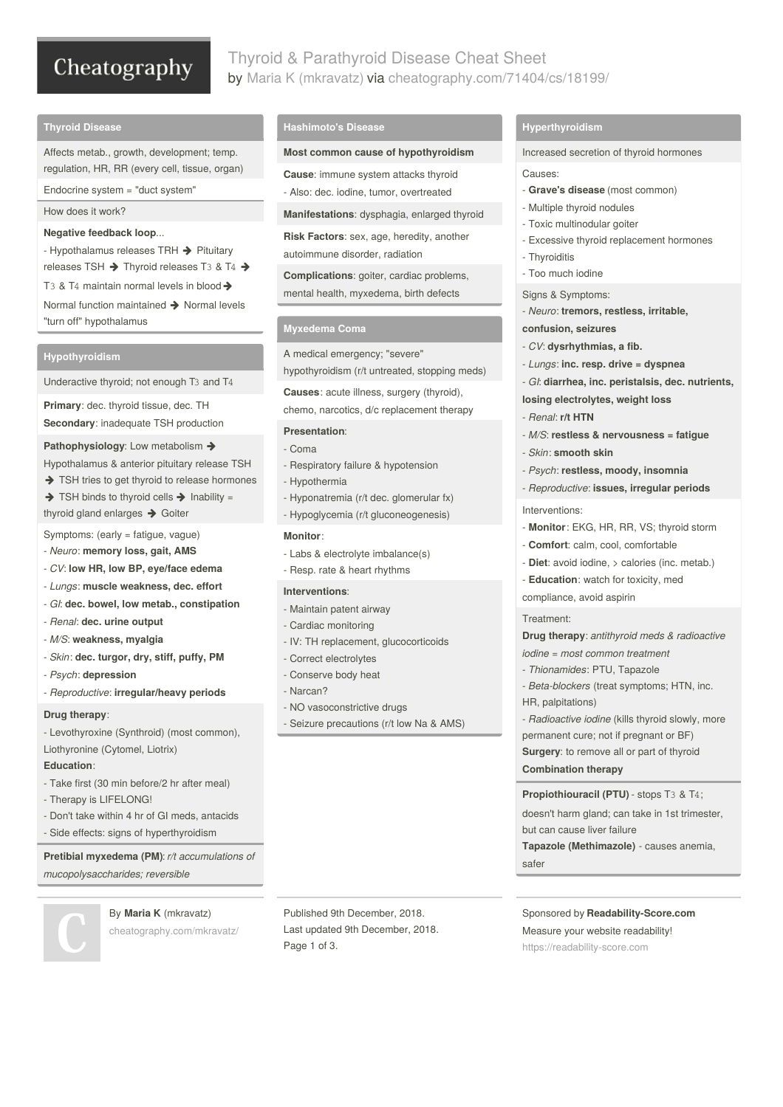# Cheatography

## Thyroid & Parathyroid Disease Cheat Sheet by Maria K [\(mkravatz\)](http://www.cheatography.com/mkravatz/) via [cheatography.com/71404/cs/18199/](http://www.cheatography.com/mkravatz/cheat-sheets/thyroid-and-parathyroid-disease)

## **Thyroid Disease**

Affects metab., growth, development; temp. regulation, HR, RR (every cell, tissue, organ)

Endocrine system = "duct system"

## How does it work?

## **Negative feedback loop**...

- Hypothalamus releases TRH  $\rightarrow$  Pituitary releases TSH  $\rightarrow$  Thyroid releases T3 & T4  $\rightarrow$ T<sub>3</sub> & T<sub>4</sub> maintain normal levels in blood  $\rightarrow$ Normal function maintained  $\rightarrow$  Normal levels "turn off" hypothalamus

## **Hypothyroidism**

Underactive thyroid; not enough T3 and T4

**Primary**: dec. thyroid tissue, dec. TH

**Secondary**: inadequate TSH production

## **Pathophysiology:** Low metabolism →

Hypothalamus & anterior pituitary release TSH

 $\rightarrow$  TSH tries to get thyroid to release hormones

 $\rightarrow$  TSH binds to thyroid cells  $\rightarrow$  Inability =

thyroid gland enlarges  $\rightarrow$  Goiter

Symptoms: (early = fatigue, vague)

- *Neuro*: **memory loss, gait, AMS**
- *CV*: **low HR, low BP, eye/face edema**
- *Lungs*: **muscle weakness, dec. effort**
- *GI*: **dec. bowel, low metab., constipation**
- *Renal*: **dec. urine output**
- *M/S*: **weakness, myalgia**
- *Skin*: **dec. turgor, dry, stiff, puffy, PM**
- *Psych*: **depression**

- *Reproductive*: **irregular/heavy periods**

## **Drug therapy**:

- Levothyroxine (Synthroid) (most common), Liothyronine (Cytomel, Liotrix)

## **Education**:

- Take first (30 min before/2 hr after meal)
- Therapy is LIFELONG!
- Don't take within 4 hr of GI meds, antacids
- Side effects: signs of hyperthyroidism

**Pretibial myxedema (PM)**: *r/t accumulations of mucopolysaccharides; reversible*

By **Maria K** (mkravatz)

[cheatography.com/mkravatz/](http://www.cheatography.com/mkravatz/)

**Hashimoto's Disease**

## **Most common cause of hypothyroidism**

**Cause**: immune system attacks thyroid

- Also: dec. iodine, tumor, overtreated

**Manifestations**: dysphagia, enlarged thyroid

**Risk Factors**: sex, age, heredity, another autoimmune disorder, radiation

**Complications**: goiter, cardiac problems, mental health, myxedema, birth defects

## **Myxedema Coma**

A medical emergency; "severe"

hypothyroidism (r/t untreated, stopping meds)

**Causes**: acute illness, surgery (thyroid),

chemo, narcotics, d/c replacement therapy

## **Presentation**:

- Coma
- Respiratory failure & hypotension
- Hypothermia
- Hyponatremia (r/t dec. glomerular fx)
- Hypoglycemia (r/t gluconeogenesis)

## **Monitor**:

- Labs & electrolyte imbalance(s)
- Resp. rate & heart rhythms

#### **Interventions**:

- Maintain patent airway
- Cardiac monitoring
- IV: TH replacement, glucocorticoids
- Correct electrolytes
- Conserve body heat
- Narcan?
- NO vasoconstrictive drugs

Published 9th December, 2018. Last updated 9th December, 2018.

Page 1 of 3.

- Seizure precautions (r/t low Na & AMS)

## **Hyperthyroidism**

## Increased secretion of thyroid hormones

#### Causes:

- **Grave's disease** (most common)
- Multiple thyroid nodules
- Toxic multinodular goiter
- Excessive thyroid replacement hormones
- Thyroiditis
- Too much iodine
- Signs & Symptoms:
- *Neuro*: **tremors, restless, irritable,**

## **confusion, seizures**

- *CV*: **dysrhythmias, a fib.**
- *Lungs*: **inc. resp. drive = dyspnea**
- *GI*: **diarrhea, inc. peristalsis, dec. nutrients,**

**losing electrolytes, weight loss**

- *Renal*: **r/t HTN**
- *M/S*: **restless & nervousness = fatigue**
- *Skin*: **smooth skin**
- *Psych*: **restless, moody, insomnia**
- *Reproductive*: **issues, irregular periods**

#### Interventions:

- **Monitor**: EKG, HR, RR, VS; thyroid storm
- **Comfort**: calm, cool, comfortable
- **Diet**: avoid iodine, > calories (inc. metab.)
- **Education**: watch for toxicity, med compliance, avoid aspirin

### Treatment:

**Drug therapy**: *antithyroid meds & radioactive iodine = most common treatment*

- *Thionamides*: PTU, Tapazole

but can cause liver failure

safer

- *Beta-blockers* (treat symptoms; HTN, inc. HR, palpitations)
- *Radioactive iodine* (kills thyroid slowly, more permanent cure; not if pregnant or BF) **Surgery**: to remove all or part of thyroid **Combination therapy**

doesn't harm gland; can take in 1st trimester,

**Tapazole (Methimazole)** - causes anemia,

Sponsored by **Readability-Score.com** Measure your website readability! <https://readability-score.com>

## **Propiothiouracil (PTU)** - stops T3 & T4;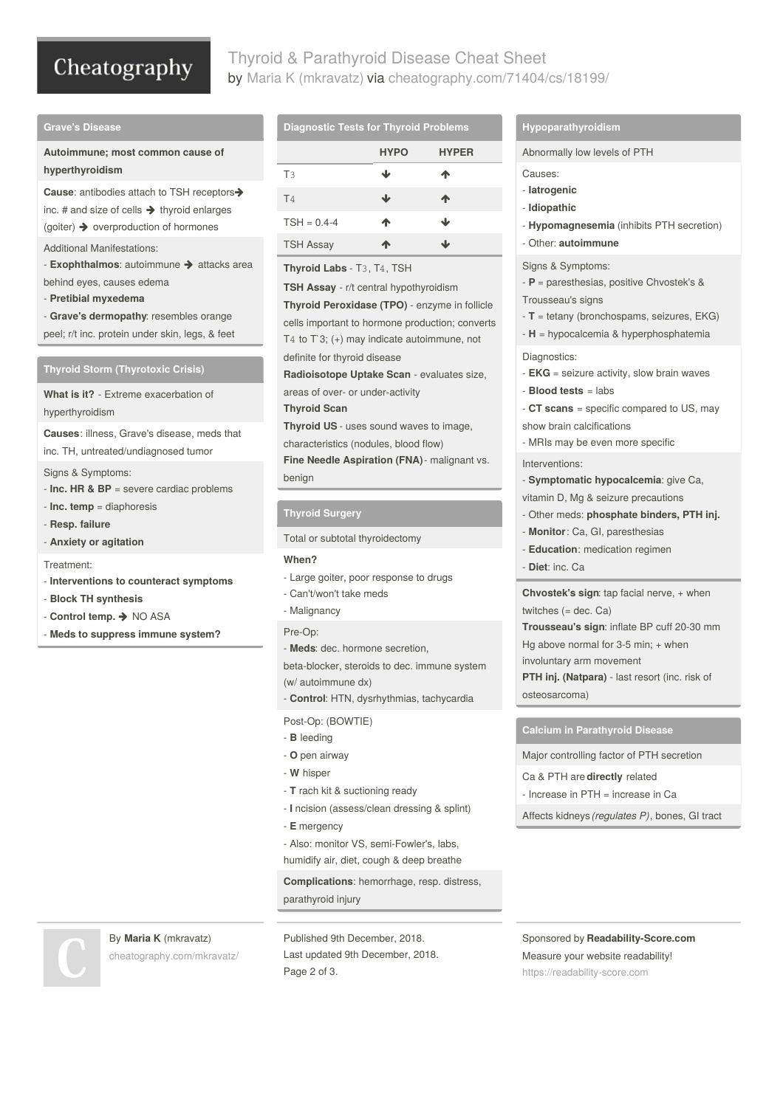# Cheatography

## Thyroid & Parathyroid Disease Cheat Sheet by Maria K [\(mkravatz\)](http://www.cheatography.com/mkravatz/) via [cheatography.com/71404/cs/18199/](http://www.cheatography.com/mkravatz/cheat-sheets/thyroid-and-parathyroid-disease)

## **Grave's Disease**

**Autoimmune; most common cause of hyperthyroidism**

**Cause**: antibodies attach to TSH receptors inc. # and size of cells  $\rightarrow$  thyroid enlarges (goiter)  $\rightarrow$  overproduction of hormones

Additional Manifestations:

- **Exophthalmos**: autoimmune  $\rightarrow$  attacks area behind eyes, causes edema

- **Pretibial myxedema**

- **Grave's dermopathy**: resembles orange peel; r/t inc. protein under skin, legs, & feet

**Thyroid Storm (Thyrotoxic Crisis)**

**What is it?** - Extreme exacerbation of hyperthyroidism

**Causes**: illness, Grave's disease, meds that inc. TH, untreated/undiagnosed tumor

Signs & Symptoms:

- **Inc. HR & BP** = severe cardiac problems
- **Inc. temp** = diaphoresis
- **Resp. failure**
- **Anxiety or agitation**

Treatment:

- **Interventions to counteract symptoms**
- **Block TH synthesis**
- **Control temp.** NO ASA
- **Meds to suppress immune system?**

By **Maria K** (mkravatz)

## **Diagnostic Tests for Thyroid Problems**

|                  | <b>HYPO</b> | <b>HYPER</b> |
|------------------|-------------|--------------|
| T <sub>3</sub>   | J           | ጥ            |
| T <sub>4</sub>   | J           | Ф            |
| $TSH = 0.4 - 4$  | ♠           | J            |
| <b>TSH Assay</b> | Ж           | J۰           |

**Thyroid Labs** - T3, T4, TSH

**TSH Assay** - r/t central hypothyroidism

**Thyroid Peroxidase (TPO)** - enzyme in follicle

cells important to hormone production; converts T<sub>4</sub> to  $\Gamma$ 3; (+) may indicate autoimmune, not

definite for thyroid disease

**Radioisotope Uptake Scan** - evaluates size,

areas of over- or under-activity

## **Thyroid Scan**

**Thyroid US** - uses sound waves to image,

characteristics (nodules, blood flow)

**Fine Needle Aspiration (FNA)**- malignant vs. benign

## **Thyroid Surgery**

Total or subtotal thyroidectomy

## **When?**

- Large goiter, poor response to drugs
- Can't/won't take meds
- Malignancy

## Pre-Op:

- **Meds**: dec. hormone secretion,
- beta-blocker, steroids to dec. immune system (w/ autoimmune dx)
- **Control**: HTN, dysrhythmias, tachycardia

Post-Op: (BOWTIE)

- **B** leeding
- **O** pen airway
- **W** hisper
- **T** rach kit & suctioning ready
- **I** ncision (assess/clean dressing & splint)
- **E** mergency

- Also: monitor VS, semi-Fowler's, labs, humidify air, diet, cough & deep breathe

**Complications**: hemorrhage, resp. distress,

parathyroid injury

Published 9th December, 2018. Last updated 9th December, 2018. Page 2 of 3.

## **Hypoparathyroidism**

Abnormally low levels of PTH

Causes:

- **Iatrogenic**
- **Idiopathic**
- **Hypomagnesemia** (inhibits PTH secretion)
- Other: **autoimmune**

## Signs & Symptoms:

- **P** = paresthesias, positive Chvostek's & Trousseau's signs

- **T** = tetany (bronchospams, seizures, EKG)
- **H** = hypocalcemia & hyperphosphatemia

## Diagnostics:

- **EKG** = seizure activity, slow brain waves - **Blood tests** = labs
- **CT scans** = specific compared to US, may show brain calcifications
- MRIs may be even more specific

## Interventions:

- **Symptomatic hypocalcemia**: give Ca,

- vitamin D, Mg & seizure precautions
- Other meds: **phosphate binders, PTH inj.**
- **Monitor**: Ca, GI, paresthesias
- **Education**: medication regimen
- **Diet**: inc. Ca

**Chvostek's sign**: tap facial nerve, + when twitches (= dec. Ca)

**Trousseau's sign**: inflate BP cuff 20-30 mm Hg above normal for 3-5 min; + when

involuntary arm movement

**PTH inj. (Natpara)** - last resort (inc. risk of osteosarcoma)

**Calcium in Parathyroid Disease**

Major controlling factor of PTH secretion

Ca & PTH are **directly** related

- Increase in PTH = increase in Ca

Affects kidneys *(regulates P)*, bones, GI tract

[cheatography.com/mkravatz/](http://www.cheatography.com/mkravatz/)

Sponsored by **Readability-Score.com** Measure your website readability! <https://readability-score.com>